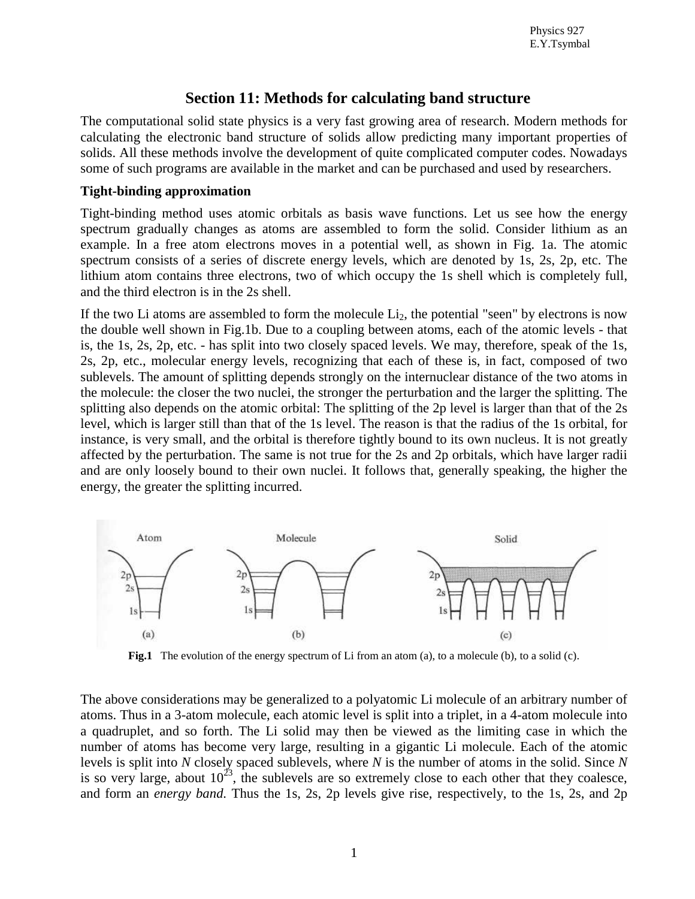# **Section 11: Methods for calculating band structure**

The computational solid state physics is a very fast growing area of research. Modern methods for calculating the electronic band structure of solids allow predicting many important properties of solids. All these methods involve the development of quite complicated computer codes. Nowadays some of such programs are available in the market and can be purchased and used by researchers.

#### **Tight-binding approximation**

Tight-binding method uses atomic orbitals as basis wave functions. Let us see how the energy spectrum gradually changes as atoms are assembled to form the solid. Consider lithium as an example. In a free atom electrons moves in a potential well, as shown in Fig. 1a. The atomic spectrum consists of a series of discrete energy levels, which are denoted by 1s, 2s, 2p, etc. The lithium atom contains three electrons, two of which occupy the 1s shell which is completely full, and the third electron is in the 2s shell.

If the two Li atoms are assembled to form the molecule  $Li<sub>2</sub>$ , the potential "seen" by electrons is now the double well shown in Fig.1b. Due to a coupling between atoms, each of the atomic levels - that is, the 1s, 2s, 2p, etc. - has split into two closely spaced levels. We may, therefore, speak of the 1s, 2s, 2p, etc., molecular energy levels, recognizing that each of these is, in fact, composed of two sublevels. The amount of splitting depends strongly on the internuclear distance of the two atoms in the molecule: the closer the two nuclei, the stronger the perturbation and the larger the splitting. The splitting also depends on the atomic orbital: The splitting of the 2p level is larger than that of the 2s level, which is larger still than that of the 1s level. The reason is that the radius of the 1s orbital, for instance, is very small, and the orbital is therefore tightly bound to its own nucleus. It is not greatly affected by the perturbation. The same is not true for the 2s and 2p orbitals, which have larger radii and are only loosely bound to their own nuclei. It follows that, generally speaking, the higher the energy, the greater the splitting incurred.



**Fig.1** The evolution of the energy spectrum of Li from an atom (a), to a molecule (b), to a solid (c).

The above considerations may be generalized to a polyatomic Li molecule of an arbitrary number of atoms. Thus in a 3-atom molecule, each atomic level is split into a triplet, in a 4-atom molecule into a quadruplet, and so forth. The Li solid may then be viewed as the limiting case in which the number of atoms has become very large, resulting in a gigantic Li molecule. Each of the atomic levels is split into *N* closely spaced sublevels, where *N* is the number of atoms in the solid. Since *N* is so very large, about  $10^{23}$ , the sublevels are so extremely close to each other that they coalesce, and form an *energy band.* Thus the 1s, 2s, 2p levels give rise, respectively, to the 1s, 2s, and 2p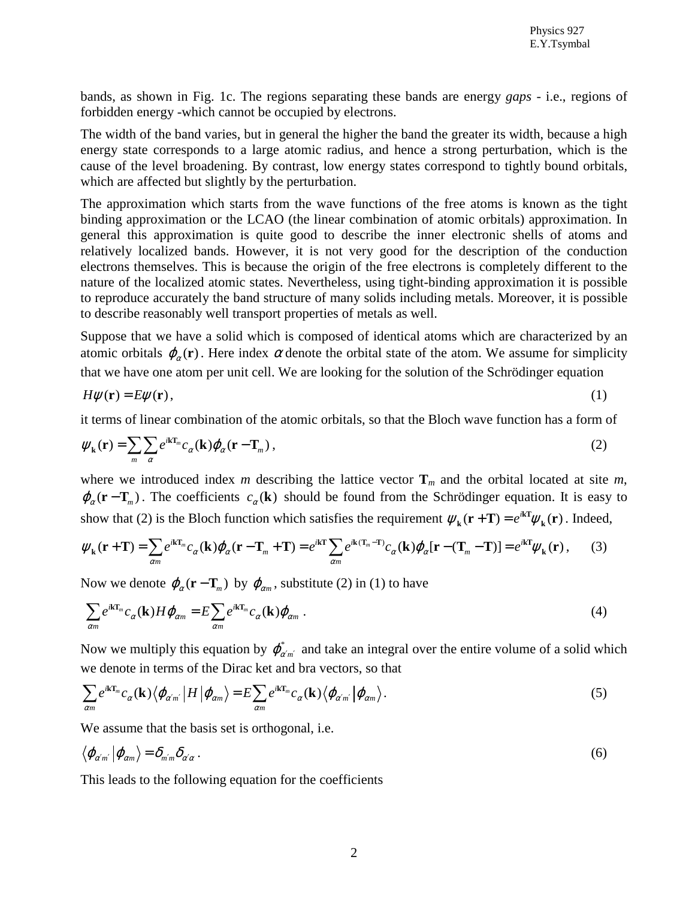bands, as shown in Fig. 1c. The regions separating these bands are energy *gaps* - i.e., regions of forbidden energy -which cannot be occupied by electrons.

The width of the band varies, but in general the higher the band the greater its width, because a high energy state corresponds to a large atomic radius, and hence a strong perturbation, which is the cause of the level broadening. By contrast, low energy states correspond to tightly bound orbitals, which are affected but slightly by the perturbation.

The approximation which starts from the wave functions of the free atoms is known as the tight binding approximation or the LCAO (the linear combination of atomic orbitals) approximation. In general this approximation is quite good to describe the inner electronic shells of atoms and relatively localized bands. However, it is not very good for the description of the conduction electrons themselves. This is because the origin of the free electrons is completely different to the nature of the localized atomic states. Nevertheless, using tight-binding approximation it is possible to reproduce accurately the band structure of many solids including metals. Moreover, it is possible to describe reasonably well transport properties of metals as well.

Suppose that we have a solid which is composed of identical atoms which are characterized by an atomic orbitals  $\varphi_{\alpha}(\mathbf{r})$ . Here index  $\alpha$  denote the orbital state of the atom. We assume for simplicity that we have one atom per unit cell. We are looking for the solution of the Schrödinger equation

$$
H\psi(\mathbf{r}) = E\psi(\mathbf{r}),\tag{1}
$$

it terms of linear combination of the atomic orbitals, so that the Bloch wave function has a form of

$$
\psi_{\mathbf{k}}(\mathbf{r}) = \sum_{m} \sum_{\alpha} e^{i\mathbf{k}\mathbf{T}_m} c_{\alpha}(\mathbf{k}) \varphi_{\alpha}(\mathbf{r} - \mathbf{T}_m) ,
$$
 (2)

where we introduced index *m* describing the lattice vector  $\mathbf{T}_m$  and the orbital located at site *m*,  $\varphi_{\alpha}(\mathbf{r}-\mathbf{T}_{m})$ . The coefficients  $c_{\alpha}(\mathbf{k})$  should be found from the Schrödinger equation. It is easy to show that (2) is the Bloch function which satisfies the requirement  $\psi_k(\mathbf{r}+\mathbf{T}) = e^{ik\mathbf{T}}\psi_k(\mathbf{r})$  $k_{\mathbf{k}}(\mathbf{r}+\mathbf{T}) = e^{i\mathbf{k}\mathbf{T}}\psi_{\mathbf{k}}(\mathbf{r})$ . Indeed,

$$
\psi_{\mathbf{k}}(\mathbf{r}+\mathbf{T}) = \sum_{\alpha m} e^{i\mathbf{k}\mathbf{T}_m} c_{\alpha}(\mathbf{k}) \varphi_{\alpha}(\mathbf{r}-\mathbf{T}_m+\mathbf{T}) = e^{i\mathbf{k}\mathbf{T}} \sum_{\alpha m} e^{i\mathbf{k}(\mathbf{T}_m-\mathbf{T})} c_{\alpha}(\mathbf{k}) \varphi_{\alpha}[\mathbf{r}-(\mathbf{T}_m-\mathbf{T})] = e^{i\mathbf{k}\mathbf{T}} \psi_{\mathbf{k}}(\mathbf{r}), \qquad (3)
$$

Now we denote  $\varphi_{\alpha}(\mathbf{r}-\mathbf{T}_{m})$  by  $\varphi_{\alpha m}$ , substitute (2) in (1) to have

$$
\sum_{\alpha m} e^{i\mathbf{k}\mathbf{T}_m} c_{\alpha}(\mathbf{k}) H \varphi_{\alpha m} = E \sum_{\alpha m} e^{i\mathbf{k}\mathbf{T}_m} c_{\alpha}(\mathbf{k}) \varphi_{\alpha m} . \tag{4}
$$

Now we multiply this equation by  $\varphi_{\alpha'm'}^*$  and take an integral over the entire volume of a solid which we denote in terms of the Dirac ket and bra vectors, so that

$$
\sum_{\alpha m} e^{i\mathbf{k}\mathbf{T}_m} c_{\alpha}(\mathbf{k}) \langle \varphi_{\alpha' m'} | H | \varphi_{\alpha m} \rangle = E \sum_{\alpha m} e^{i\mathbf{k}\mathbf{T}_m} c_{\alpha}(\mathbf{k}) \langle \varphi_{\alpha' m'} | \varphi_{\alpha m} \rangle.
$$
 (5)

We assume that the basis set is orthogonal, i.e.

$$
\langle \varphi_{\alpha'm'} | \varphi_{\alpha m} \rangle = \delta_{m'm} \delta_{\alpha'\alpha} \ . \tag{6}
$$

This leads to the following equation for the coefficients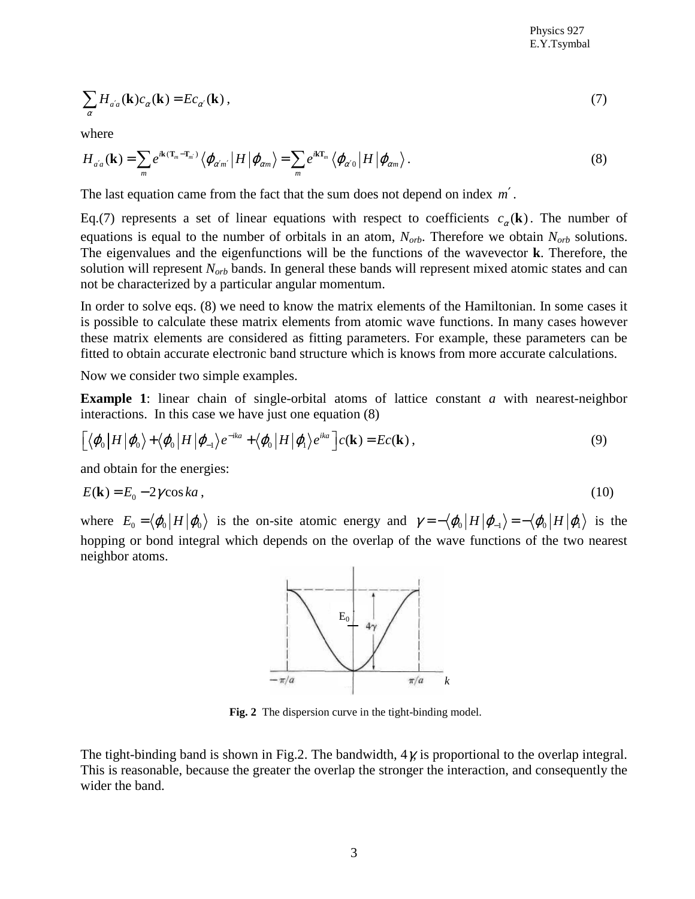$$
\sum_{\alpha} H_{a'a}(\mathbf{k}) c_{\alpha}(\mathbf{k}) = E c_{\alpha'}(\mathbf{k}), \qquad (7)
$$

where

$$
H_{a'a}(\mathbf{k}) = \sum_{m} e^{i\mathbf{k}\cdot(\mathbf{T}_{m}-\mathbf{T}_{m'})} \left\langle \varphi_{\alpha'm'}\left|H\right| \varphi_{\alpha m} \right\rangle = \sum_{m} e^{i\mathbf{k}\mathbf{T}_{m}} \left\langle \varphi_{\alpha'0}\left|H\right| \varphi_{\alpha m} \right\rangle.
$$
 (8)

The last equation came from the fact that the sum does not depend on index *m*′ .

Eq.(7) represents a set of linear equations with respect to coefficients  $c_{\alpha}(\mathbf{k})$ . The number of equations is equal to the number of orbitals in an atom,  $N_{orb}$ . Therefore we obtain  $N_{orb}$  solutions. The eigenvalues and the eigenfunctions will be the functions of the wavevector **k**. Therefore, the solution will represent *Norb* bands. In general these bands will represent mixed atomic states and can not be characterized by a particular angular momentum.

In order to solve eqs. (8) we need to know the matrix elements of the Hamiltonian. In some cases it is possible to calculate these matrix elements from atomic wave functions. In many cases however these matrix elements are considered as fitting parameters. For example, these parameters can be fitted to obtain accurate electronic band structure which is knows from more accurate calculations.

Now we consider two simple examples.

**Example 1**: linear chain of single-orbital atoms of lattice constant *a* with nearest-neighbor interactions. In this case we have just one equation (8)

$$
\left[\langle\varphi_0\,\big|H\,\big|\varphi_0\,\rangle+\langle\varphi_0\,\big|H\,\big|\varphi_{-1}\,\rangle e^{-ika}+\langle\varphi_0\,\big|H\,\big|\varphi_1\,\rangle e^{ika}\,\right]c(\mathbf{k})=Ec(\mathbf{k})\,,\tag{9}
$$

and obtain for the energies:

$$
E(\mathbf{k}) = E_0 - 2\gamma \cos ka \,,\tag{10}
$$

where  $E_0 = \langle \varphi_0 | H | \varphi_0 \rangle$  is the on-site atomic energy and  $\gamma = -\langle \varphi_0 | H | \varphi_1 \rangle = -\langle \varphi_0 | H | \varphi_1 \rangle$  is the hopping or bond integral which depends on the overlap of the wave functions of the two nearest neighbor atoms.



**Fig. 2** The dispersion curve in the tight-binding model.

The tight-binding band is shown in Fig.2. The bandwidth,  $4\chi$  is proportional to the overlap integral. This is reasonable, because the greater the overlap the stronger the interaction, and consequently the wider the band.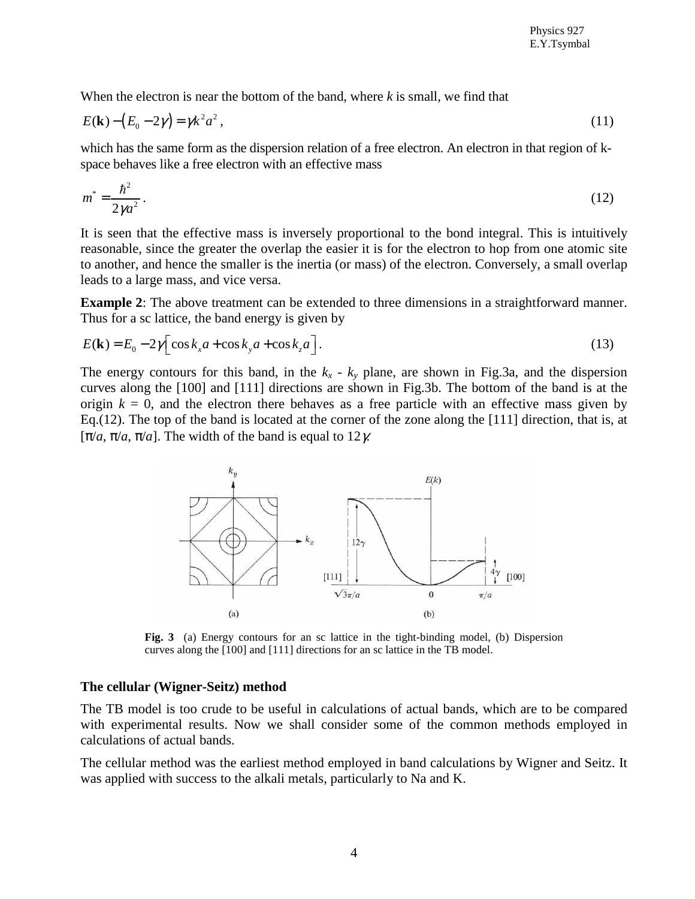When the electron is near the bottom of the band, where *k* is small, we find that

$$
E(\mathbf{k}) - (E_0 - 2\gamma) = \gamma k^2 a^2, \qquad (11)
$$

which has the same form as the dispersion relation of a free electron. An electron in that region of kspace behaves like a free electron with an effective mass

$$
m^* = \frac{\hbar^2}{2\gamma a^2} \,. \tag{12}
$$

It is seen that the effective mass is inversely proportional to the bond integral. This is intuitively reasonable, since the greater the overlap the easier it is for the electron to hop from one atomic site to another, and hence the smaller is the inertia (or mass) of the electron. Conversely, a small overlap leads to a large mass, and vice versa.

**Example 2**: The above treatment can be extended to three dimensions in a straightforward manner. Thus for a sc lattice, the band energy is given by

$$
E(\mathbf{k}) = E_0 - 2\gamma \Big[ \cos k_x a + \cos k_y a + \cos k_z a \Big].
$$
 (13)

The energy contours for this band, in the  $k_x - k_y$  plane, are shown in Fig.3a, and the dispersion curves along the [100] and [111] directions are shown in Fig.3b. The bottom of the band is at the origin  $k = 0$ , and the electron there behaves as a free particle with an effective mass given by Eq.(12). The top of the band is located at the corner of the zone along the [111] direction, that is, at [ $\pi/a$ ,  $\pi/a$ ,  $\pi/a$ ]. The width of the band is equal to 12*γ*.



**Fig. 3** (a) Energy contours for an sc lattice in the tight-binding model, (b) Dispersion curves along the [100] and [111] directions for an sc lattice in the TB model.

#### **The cellular (Wigner-Seitz) method**

The TB model is too crude to be useful in calculations of actual bands, which are to be compared with experimental results. Now we shall consider some of the common methods employed in calculations of actual bands.

The cellular method was the earliest method employed in band calculations by Wigner and Seitz. It was applied with success to the alkali metals, particularly to Na and K.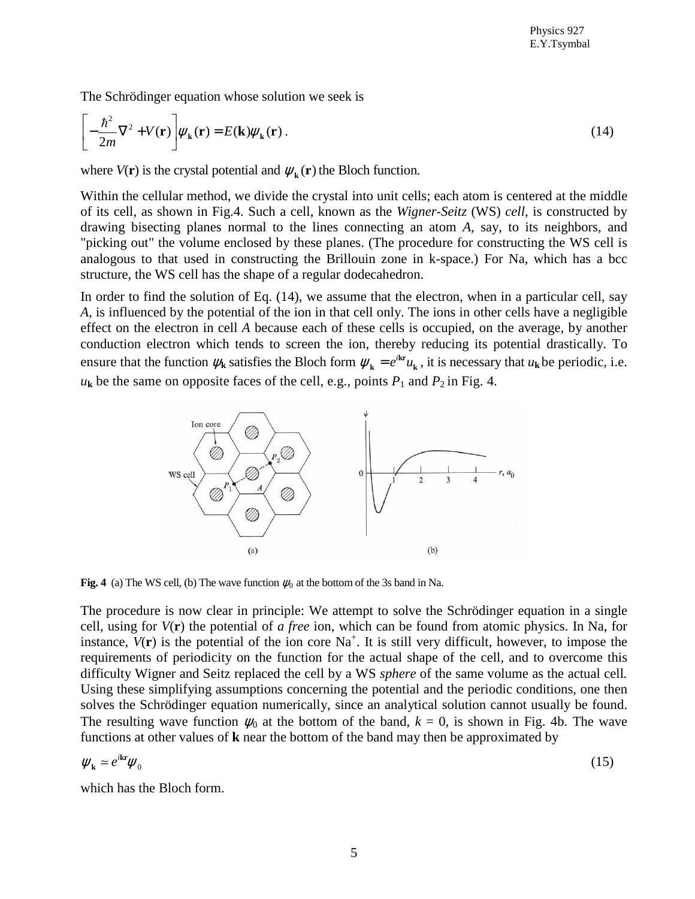The Schrödinger equation whose solution we seek is

$$
\left[-\frac{\hbar^2}{2m}\nabla^2 + V(\mathbf{r})\right]\psi_{\mathbf{k}}(\mathbf{r}) = E(\mathbf{k})\psi_{\mathbf{k}}(\mathbf{r}).
$$
\n(14)

where  $V(\mathbf{r})$  is the crystal potential and  $\psi_{\mathbf{k}}(\mathbf{r})$  the Bloch function.

Within the cellular method, we divide the crystal into unit cells; each atom is centered at the middle of its cell, as shown in Fig.4. Such a cell, known as the *Wigner-Seitz* (WS) *cell,* is constructed by drawing bisecting planes normal to the lines connecting an atom *A,* say, to its neighbors, and "picking out" the volume enclosed by these planes. (The procedure for constructing the WS cell is analogous to that used in constructing the Brillouin zone in k-space.) For Na, which has a bcc structure, the WS cell has the shape of a regular dodecahedron.

In order to find the solution of Eq. (14), we assume that the electron, when in a particular cell, say *A,* is influenced by the potential of the ion in that cell only. The ions in other cells have a negligible effect on the electron in cell *A* because each of these cells is occupied, on the average, by another conduction electron which tends to screen the ion, thereby reducing its potential drastically. To ensure that the function  $\psi_k$  satisfies the Bloch form  $\psi_k = e^{ikr}u$  $k_{\mathbf{k}} = e^{i\mathbf{k}\cdot\mathbf{r}} u_{\mathbf{k}}$ , it is necessary that  $u_{\mathbf{k}}$  be periodic, i.e.  $u_k$  be the same on opposite faces of the cell, e.g., points  $P_1$  and  $P_2$  in Fig. 4.



**Fig. 4** (a) The WS cell, (b) The wave function  $\psi_0$  at the bottom of the 3s band in Na.

The procedure is now clear in principle: We attempt to solve the Schrödinger equation in a single cell, using for *V*(**r**) the potential of *a free* ion, which can be found from atomic physics. In Na, for instance,  $V(\mathbf{r})$  is the potential of the ion core Na<sup>+</sup>. It is still very difficult, however, to impose the requirements of periodicity on the function for the actual shape of the cell, and to overcome this difficulty Wigner and Seitz replaced the cell by a WS *sphere* of the same volume as the actual cell*.* Using these simplifying assumptions concerning the potential and the periodic conditions, one then solves the Schrödinger equation numerically, since an analytical solution cannot usually be found. The resulting wave function  $\psi_0$  at the bottom of the band,  $k = 0$ , is shown in Fig. 4b. The wave functions at other values of **k** near the bottom of the band may then be approximated by

$$
\psi_{\mathbf{k}} = e^{i\mathbf{k}\cdot\mathbf{r}}\psi_0 \tag{15}
$$

which has the Bloch form.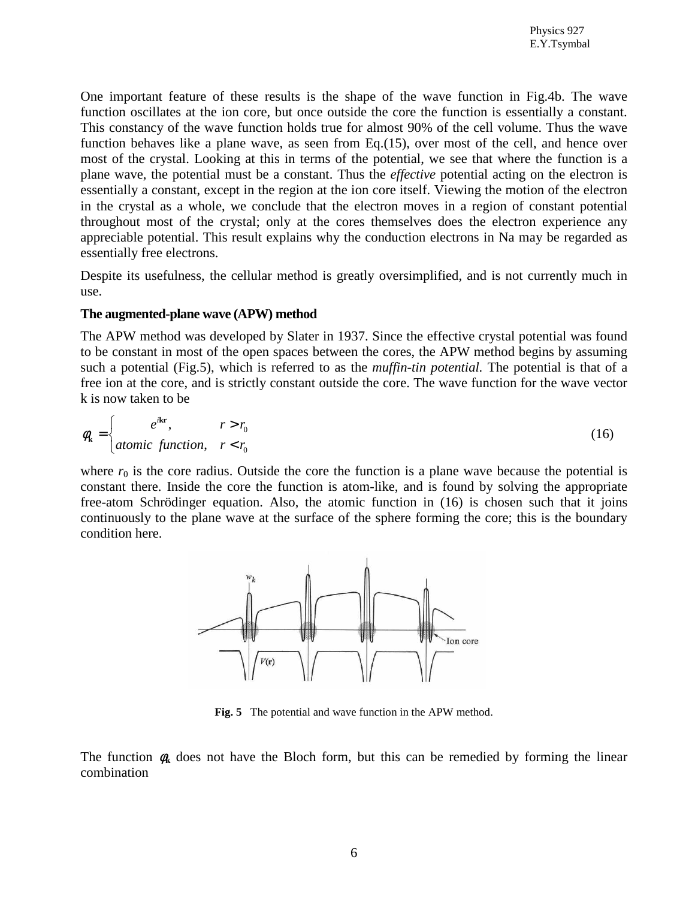One important feature of these results is the shape of the wave function in Fig.4b. The wave function oscillates at the ion core, but once outside the core the function is essentially a constant. This constancy of the wave function holds true for almost 90% of the cell volume. Thus the wave function behaves like a plane wave, as seen from Eq.(15), over most of the cell, and hence over most of the crystal. Looking at this in terms of the potential, we see that where the function is a plane wave, the potential must be a constant. Thus the *effective* potential acting on the electron is essentially a constant, except in the region at the ion core itself. Viewing the motion of the electron in the crystal as a whole, we conclude that the electron moves in a region of constant potential throughout most of the crystal; only at the cores themselves does the electron experience any appreciable potential. This result explains why the conduction electrons in Na may be regarded as essentially free electrons.

Despite its usefulness, the cellular method is greatly oversimplified, and is not currently much in use.

### **The augmented-plane wave (APW) method**

The APW method was developed by Slater in 1937. Since the effective crystal potential was found to be constant in most of the open spaces between the cores, the APW method begins by assuming such a potential (Fig.5), which is referred to as the *muffin-tin potential.* The potential is that of a free ion at the core, and is strictly constant outside the core. The wave function for the wave vector k is now taken to be

$$
\phi_{k} = \begin{cases} e^{ikr}, & r > r_{0} \\ atomic function, & r < r_{0} \end{cases}
$$
\n(16)

where  $r_0$  is the core radius. Outside the core the function is a plane wave because the potential is constant there. Inside the core the function is atom-like, and is found by solving the appropriate free-atom Schrödinger equation. Also, the atomic function in (16) is chosen such that it joins continuously to the plane wave at the surface of the sphere forming the core; this is the boundary condition here.



**Fig. 5** The potential and wave function in the APW method.

The function  $\phi_k$  does not have the Bloch form, but this can be remedied by forming the linear combination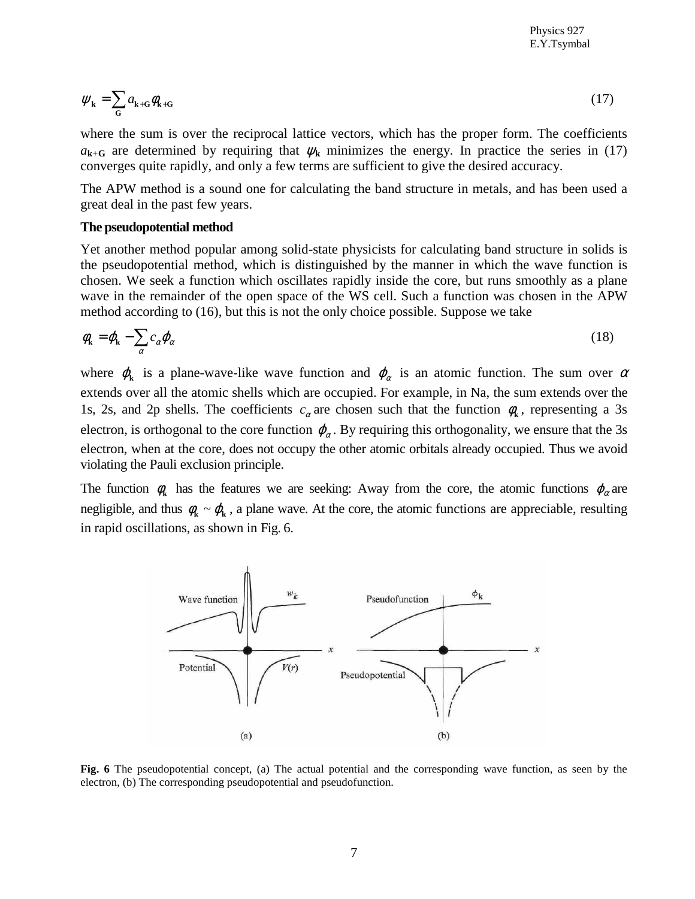$$
\psi_{\mathbf{k}} = \sum_{\mathbf{G}} a_{\mathbf{k} + \mathbf{G}} \phi_{\mathbf{k} + \mathbf{G}} \tag{17}
$$

where the sum is over the reciprocal lattice vectors, which has the proper form. The coefficients  $a_{k+G}$  are determined by requiring that  $\psi_k$  minimizes the energy. In practice the series in (17) converges quite rapidly, and only a few terms are sufficient to give the desired accuracy.

The APW method is a sound one for calculating the band structure in metals, and has been used a great deal in the past few years.

#### **The pseudopotential method**

Yet another method popular among solid-state physicists for calculating band structure in solids is the pseudopotential method, which is distinguished by the manner in which the wave function is chosen. We seek a function which oscillates rapidly inside the core, but runs smoothly as a plane wave in the remainder of the open space of the WS cell. Such a function was chosen in the APW method according to (16), but this is not the only choice possible. Suppose we take

$$
\phi_{\mathbf{k}} = \phi_{\mathbf{k}} - \sum_{\alpha} c_{\alpha} \phi_{\alpha} \tag{18}
$$

where  $\varphi_k$  is a plane-wave-like wave function and  $\varphi_\alpha$  is an atomic function. The sum over  $\alpha$ extends over all the atomic shells which are occupied. For example, in Na, the sum extends over the 1s, 2s, and 2p shells. The coefficients  $c_{\alpha}$  are chosen such that the function  $\phi_{k}$ , representing a 3s electron, is orthogonal to the core function  $\varphi_{\alpha}$ . By requiring this orthogonality, we ensure that the 3s electron, when at the core, does not occupy the other atomic orbitals already occupied. Thus we avoid violating the Pauli exclusion principle.

The function  $\phi_k$  has the features we are seeking: Away from the core, the atomic functions  $\phi_\alpha$  are negligible, and thus  $\phi_k \sim \phi_k$ , a plane wave. At the core, the atomic functions are appreciable, resulting in rapid oscillations, as shown in Fig. 6.



**Fig. 6** The pseudopotential concept, (a) The actual potential and the corresponding wave function, as seen by the electron, (b) The corresponding pseudopotential and pseudofunction.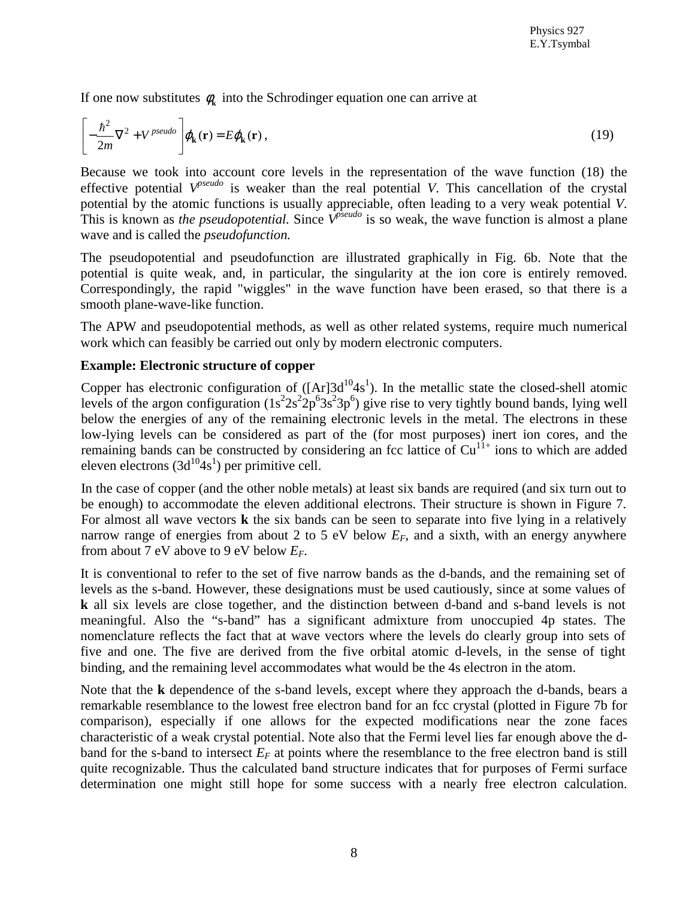If one now substitutes  $\phi_k$  into the Schrodinger equation one can arrive at

$$
\left[-\frac{\hbar^2}{2m}\nabla^2 + V^{pseudo}\right]\varphi_{\mathbf{k}}(\mathbf{r}) = E\varphi_{\mathbf{k}}(\mathbf{r}),
$$
\n(19)

Because we took into account core levels in the representation of the wave function (18) the effective potential  $V^{pseudo}$  is weaker than the real potential *V*. This cancellation of the crystal potential by the atomic functions is usually appreciable, often leading to a very weak potential *V*. This is known as *the pseudopotential*. Since  $\hat{V}^{pseudo}$  is so weak, the wave function is almost a plane wave and is called the *pseudofunction.*

The pseudopotential and pseudofunction are illustrated graphically in Fig. 6b. Note that the potential is quite weak, and, in particular, the singularity at the ion core is entirely removed. Correspondingly, the rapid "wiggles" in the wave function have been erased, so that there is a smooth plane-wave-like function.

The APW and pseudopotential methods, as well as other related systems, require much numerical work which can feasibly be carried out only by modern electronic computers.

## **Example: Electronic structure of copper**

Copper has electronic configuration of  $([Ar]3d^{10}4s^1)$ . In the metallic state the closed-shell atomic levels of the argon configuration  $(1s^22s^22p^63s^23p^6)$  give rise to very tightly bound bands, lying well below the energies of any of the remaining electronic levels in the metal. The electrons in these low-lying levels can be considered as part of the (for most purposes) inert ion cores, and the remaining bands can be constructed by considering an fcc lattice of  $Cu<sup>11+</sup>$  ions to which are added eleven electrons  $(3d^{10}4s^1)$  per primitive cell.

In the case of copper (and the other noble metals) at least six bands are required (and six turn out to be enough) to accommodate the eleven additional electrons. Their structure is shown in Figure 7. For almost all wave vectors **k** the six bands can be seen to separate into five lying in a relatively narrow range of energies from about 2 to 5 eV below  $E_F$ , and a sixth, with an energy anywhere from about 7 eV above to 9 eV below *EF*.

It is conventional to refer to the set of five narrow bands as the d-bands, and the remaining set of levels as the s-band. However, these designations must be used cautiously, since at some values of **k** all six levels are close together, and the distinction between d-band and s-band levels is not meaningful. Also the "s-band" has a significant admixture from unoccupied 4p states. The nomenclature reflects the fact that at wave vectors where the levels do clearly group into sets of five and one. The five are derived from the five orbital atomic d-levels, in the sense of tight binding, and the remaining level accommodates what would be the 4s electron in the atom.

Note that the **k** dependence of the s-band levels, except where they approach the d-bands, bears a remarkable resemblance to the lowest free electron band for an fcc crystal (plotted in Figure 7b for comparison), especially if one allows for the expected modifications near the zone faces characteristic of a weak crystal potential. Note also that the Fermi level lies far enough above the dband for the s-band to intersect  $E_F$  at points where the resemblance to the free electron band is still quite recognizable. Thus the calculated band structure indicates that for purposes of Fermi surface determination one might still hope for some success with a nearly free electron calculation.